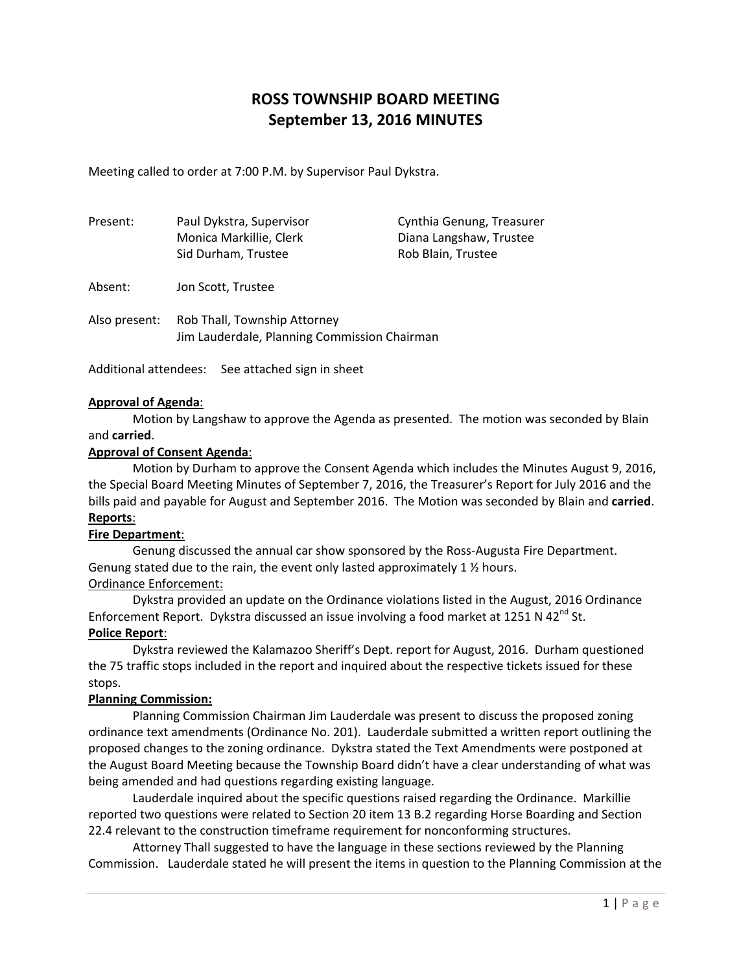# **ROSS TOWNSHIP BOARD MEETING September 13, 2016 MINUTES**

Meeting called to order at 7:00 P.M. by Supervisor Paul Dykstra.

| Present:      | Paul Dykstra, Supervisor<br>Monica Markillie, Clerk<br>Sid Durham, Trustee | Cynthia Genung, Treasurer<br>Diana Langshaw, Trustee<br>Rob Blain, Trustee |
|---------------|----------------------------------------------------------------------------|----------------------------------------------------------------------------|
| Absent:       | Jon Scott, Trustee                                                         |                                                                            |
| Also present: | Rob Thall, Township Attorney                                               |                                                                            |

Jim Lauderdale, Planning Commission Chairman

Additional attendees: See attached sign in sheet

### **Approval of Agenda**:

Motion by Langshaw to approve the Agenda as presented. The motion was seconded by Blain and **carried**.

## **Approval of Consent Agenda**:

Motion by Durham to approve the Consent Agenda which includes the Minutes August 9, 2016, the Special Board Meeting Minutes of September 7, 2016, the Treasurer's Report for July 2016 and the bills paid and payable for August and September 2016. The Motion was seconded by Blain and **carried**. **Reports**:

#### **Fire Department**:

Genung discussed the annual car show sponsored by the Ross‐Augusta Fire Department. Genung stated due to the rain, the event only lasted approximately 1 ½ hours. Ordinance Enforcement:

Dykstra provided an update on the Ordinance violations listed in the August, 2016 Ordinance Enforcement Report. Dykstra discussed an issue involving a food market at 1251 N 42<sup>nd</sup> St.

## **Police Report**:

Dykstra reviewed the Kalamazoo Sheriff's Dept. report for August, 2016. Durham questioned the 75 traffic stops included in the report and inquired about the respective tickets issued for these stops.

### **Planning Commission:**

Planning Commission Chairman Jim Lauderdale was present to discuss the proposed zoning ordinance text amendments (Ordinance No. 201). Lauderdale submitted a written report outlining the proposed changes to the zoning ordinance. Dykstra stated the Text Amendments were postponed at the August Board Meeting because the Township Board didn't have a clear understanding of what was being amended and had questions regarding existing language.

Lauderdale inquired about the specific questions raised regarding the Ordinance. Markillie reported two questions were related to Section 20 item 13 B.2 regarding Horse Boarding and Section 22.4 relevant to the construction timeframe requirement for nonconforming structures.

Attorney Thall suggested to have the language in these sections reviewed by the Planning Commission. Lauderdale stated he will present the items in question to the Planning Commission at the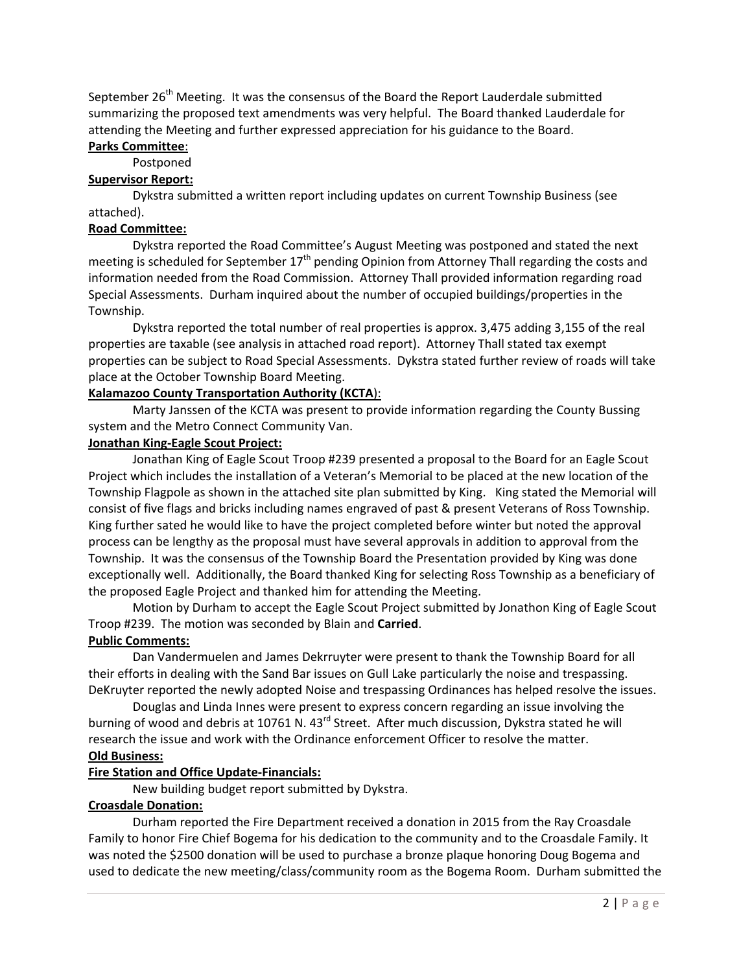September 26<sup>th</sup> Meeting. It was the consensus of the Board the Report Lauderdale submitted summarizing the proposed text amendments was very helpful. The Board thanked Lauderdale for attending the Meeting and further expressed appreciation for his guidance to the Board.

## **Parks Committee**:

Postponed

### **Supervisor Report:**

Dykstra submitted a written report including updates on current Township Business (see attached).

## **Road Committee:**

Dykstra reported the Road Committee's August Meeting was postponed and stated the next meeting is scheduled for September  $17<sup>th</sup>$  pending Opinion from Attorney Thall regarding the costs and information needed from the Road Commission. Attorney Thall provided information regarding road Special Assessments. Durham inquired about the number of occupied buildings/properties in the Township.

Dykstra reported the total number of real properties is approx. 3,475 adding 3,155 of the real properties are taxable (see analysis in attached road report). Attorney Thall stated tax exempt properties can be subject to Road Special Assessments. Dykstra stated further review of roads will take place at the October Township Board Meeting.

## **Kalamazoo County Transportation Authority (KCTA**):

Marty Janssen of the KCTA was present to provide information regarding the County Bussing system and the Metro Connect Community Van.

### **Jonathan King‐Eagle Scout Project:**

Jonathan King of Eagle Scout Troop #239 presented a proposal to the Board for an Eagle Scout Project which includes the installation of a Veteran's Memorial to be placed at the new location of the Township Flagpole as shown in the attached site plan submitted by King. King stated the Memorial will consist of five flags and bricks including names engraved of past & present Veterans of Ross Township. King further sated he would like to have the project completed before winter but noted the approval process can be lengthy as the proposal must have several approvals in addition to approval from the Township. It was the consensus of the Township Board the Presentation provided by King was done exceptionally well. Additionally, the Board thanked King for selecting Ross Township as a beneficiary of the proposed Eagle Project and thanked him for attending the Meeting.

Motion by Durham to accept the Eagle Scout Project submitted by Jonathon King of Eagle Scout Troop #239. The motion was seconded by Blain and **Carried**.

## **Public Comments:**

Dan Vandermuelen and James Dekrruyter were present to thank the Township Board for all their efforts in dealing with the Sand Bar issues on Gull Lake particularly the noise and trespassing. DeKruyter reported the newly adopted Noise and trespassing Ordinances has helped resolve the issues.

Douglas and Linda Innes were present to express concern regarding an issue involving the burning of wood and debris at 10761 N. 43<sup>rd</sup> Street. After much discussion, Dykstra stated he will research the issue and work with the Ordinance enforcement Officer to resolve the matter. **Old Business:**

# **Fire Station and Office Update‐Financials:**

New building budget report submitted by Dykstra.

## **Croasdale Donation:**

Durham reported the Fire Department received a donation in 2015 from the Ray Croasdale Family to honor Fire Chief Bogema for his dedication to the community and to the Croasdale Family. It was noted the \$2500 donation will be used to purchase a bronze plaque honoring Doug Bogema and used to dedicate the new meeting/class/community room as the Bogema Room. Durham submitted the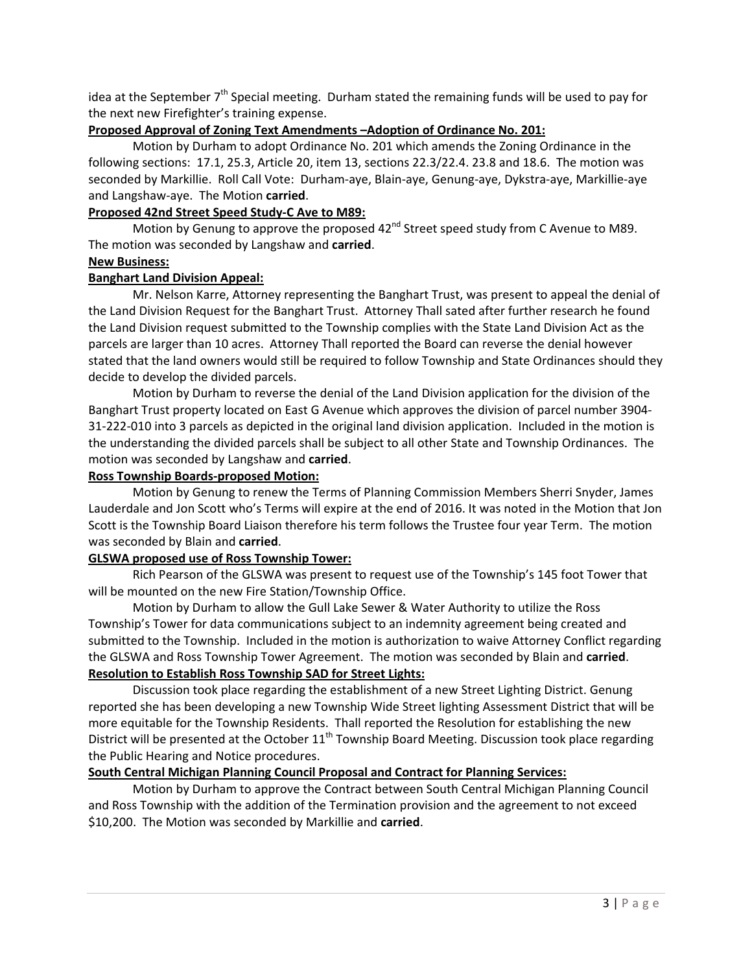idea at the September  $7<sup>th</sup>$  Special meeting. Durham stated the remaining funds will be used to pay for the next new Firefighter's training expense.

### **Proposed Approval of Zoning Text Amendments –Adoption of Ordinance No. 201:**

Motion by Durham to adopt Ordinance No. 201 which amends the Zoning Ordinance in the following sections: 17.1, 25.3, Article 20, item 13, sections 22.3/22.4. 23.8 and 18.6. The motion was seconded by Markillie. Roll Call Vote: Durham‐aye, Blain‐aye, Genung‐aye, Dykstra‐aye, Markillie‐aye and Langshaw‐aye. The Motion **carried**.

### **Proposed 42nd Street Speed Study‐C Ave to M89:**

Motion by Genung to approve the proposed 42<sup>nd</sup> Street speed study from C Avenue to M89. The motion was seconded by Langshaw and **carried**.

### **New Business:**

### **Banghart Land Division Appeal:**

Mr. Nelson Karre, Attorney representing the Banghart Trust, was present to appeal the denial of the Land Division Request for the Banghart Trust. Attorney Thall sated after further research he found the Land Division request submitted to the Township complies with the State Land Division Act as the parcels are larger than 10 acres. Attorney Thall reported the Board can reverse the denial however stated that the land owners would still be required to follow Township and State Ordinances should they decide to develop the divided parcels.

Motion by Durham to reverse the denial of the Land Division application for the division of the Banghart Trust property located on East G Avenue which approves the division of parcel number 3904‐ 31-222-010 into 3 parcels as depicted in the original land division application. Included in the motion is the understanding the divided parcels shall be subject to all other State and Township Ordinances. The motion was seconded by Langshaw and **carried**.

### **Ross Township Boards‐proposed Motion:**

Motion by Genung to renew the Terms of Planning Commission Members Sherri Snyder, James Lauderdale and Jon Scott who's Terms will expire at the end of 2016. It was noted in the Motion that Jon Scott is the Township Board Liaison therefore his term follows the Trustee four year Term. The motion was seconded by Blain and **carried**.

#### **GLSWA proposed use of Ross Township Tower:**

Rich Pearson of the GLSWA was present to request use of the Township's 145 foot Tower that will be mounted on the new Fire Station/Township Office.

Motion by Durham to allow the Gull Lake Sewer & Water Authority to utilize the Ross Township's Tower for data communications subject to an indemnity agreement being created and submitted to the Township. Included in the motion is authorization to waive Attorney Conflict regarding the GLSWA and Ross Township Tower Agreement. The motion was seconded by Blain and **carried**. **Resolution to Establish Ross Township SAD for Street Lights:**

Discussion took place regarding the establishment of a new Street Lighting District. Genung reported she has been developing a new Township Wide Street lighting Assessment District that will be more equitable for the Township Residents. Thall reported the Resolution for establishing the new District will be presented at the October  $11<sup>th</sup>$  Township Board Meeting. Discussion took place regarding the Public Hearing and Notice procedures.

### **South Central Michigan Planning Council Proposal and Contract for Planning Services:**

Motion by Durham to approve the Contract between South Central Michigan Planning Council and Ross Township with the addition of the Termination provision and the agreement to not exceed \$10,200. The Motion was seconded by Markillie and **carried**.